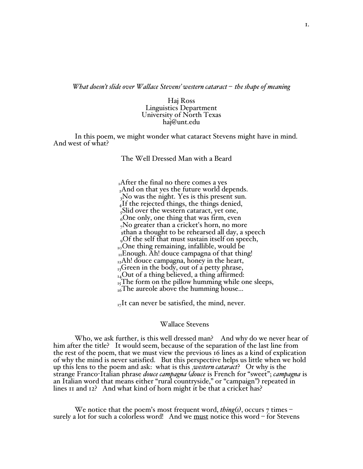*What doesn't slide over Wallace Stevens' western cataract – the shape of meaning*

Haj Ross Linguistics Department University of North Texas haj@unt.edu

In this poem, we might wonder what cataract Stevens might have in mind. And west of what?

The Well Dressed Man with a Beard

 $<sub>1</sub>$ After the final no there comes a yes</sub> <sub>2</sub>And on that yes the future world depends. 3No was the night. Yes is this present sun.  $_{4}$ If the rejected things, the things denied, 5Slid over the western cataract, yet one,  $6^{\circ}$ One only, one thing that was firm, even 7No greater than a cricket's horn, no more 8than a thought to be rehearsed all day, a speech  $_{0}$ Of the self that must sustain itself on speech,  $_{10}$ One thing remaining, infallible, would be  $_{\text{II}}$ Enough. Ah! douce campagna of that thing!  $_{12}$ Ah! douce campagna, honey in the heart,  $_{13}$ Green in the body, out of a petty phrase,  $_{14}$ Out of a thing believed, a thing affirmed:  $_{15}$ The form on the pillow humming while one sleeps,  $_{16}$ The aureole above the humming house...

 $_{17}$ It can never be satisfied, the mind, never.

## Wallace Stevens

Who, we ask further, is this well dressed man? And why do we never hear of him after the title? It would seem, because of the separation of the last line from the rest of the poem, that we must view the previous 16 lines as a kind of explication of why the mind is never satisfied. But this perspective helps us little when we hold up this lens to the poem and ask: what is this *swestern cataract*? Or why is the strange Franco-Italian phrase *douce campagna* (*douce* is French for "sweet"; *campagna* is an Italian word that means either "rural countryside," or "campaign") repeated in lines 11 and 12? And what kind of horn might it be that a cricket has?

We notice that the poem's most frequent word, *thing*(*s*), occurs 7 times – surely a lot for such a colorless word! And we must notice this word – for Stevens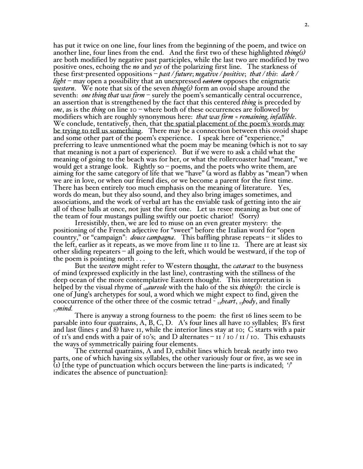has put it twice on one line, four lines from the beginning of the poem, and twice on another line, four lines from the end. And the first two of these highlighted *thing(s)* are both modified by negative past participles, while the last two are modified by two positive ones, echoing the *no* and *yes* of the polarizing first line. The starkness of these first-presented oppositions – *past / future*; *negative / positive*; *that / this*: *dark / light* – may open a possibility that an unexpressed *eastern* opposes the enigmatic *western*. We note that six of the seven *thing(s)* form an ovoid shape around the seventh: *one thing that was firm* – surely the poem's semantically central occurrence, an assertion that is strengthened by the fact that this centered *thing* is preceded by *one*, as is the *thing* on line 10 – where both of these occurrences are followed by modifiers which are roughly synonymous here: *that was firm* ≈ *remaining, infallible*. We conclude, tentatively, then, that the spatial placement of the poem's words may be trying to tell us something. There may be a connection between this ovoid shape and some other part of the poem's experience. I speak here of "experience," preferring to leave unmentioned what the poem may be meaning (which is not to say that meaning is not a part of experience). But if we were to ask a child what the meaning of going to the beach was for her, or what the rollercoaster had "meant," we would get a strange look. Rightly so  $-\rho$  poems, and the poets who write them, are aiming for the same category of life that we "have" (a word as flabby as "mean") when we are in love, or when our friend dies, or we become a parent for the first time. There has been entirely too much emphasis on the meaning of literature. Yes, words do mean, but they also sound, and they also bring images sometimes, and associations, and the work of verbal art has the enviable task of getting into the air all of these balls at once, not just the first one. Let us resee meaning as but one of the team of four mustangs pulling swiftly our poetic chariot! (Sorry)

Irresistibly, then, we are led to muse on an even greater mystery: the positioning of the French adjective for "sweet" before the Italian word for "open country," or "campaign": *douce campagna*. This baffling phrase repeats – it slides to the left, earlier as it repeats, as we move from line 11 to line 12. There are at least six other sliding repeaters – all going to the left, which would be westward, if the top of the poem is pointing north . . .

But the *western* might refer to Western thought, the *cataract* to the busyness of mind (expressed explicitly in the last line), contrasting with the stillness of the deep ocean of the more contemplative Eastern thought. This interpretation is helped by the visual rhyme of <sup>16</sup>*aureole* with the halo of the six *thing(s*): the circle is one of Jung's archetypes for soul, a word which we might expect to find, given the cooccurrence of the other three of the cosmic tetrad - <sup>12</sup>*heart*, <sup>13</sup>*body*, and finally  $I_1$ *mind.* 

There is anyway a strong fourness to the poem: the first 16 lines seem to be parsable into four quatrains,  $A, B, C, D$ . A's four lines all have 10 syllables; B's first and last (lines  $\zeta$  and 8) have 11, while the interior lines stay at 10; C starts with a pair of 11's and ends with a pair of 10's; and D alternates  $-$  11 / 10 / 11 / 10. This exhausts the ways of symmetrically pairing four elements. The external quatrains, <sup>A</sup> and D, exhibit lines which break neatly into two

parts, one of which having six syllables, the other variously four or five, as we see in  $\overline{u}$ ) [the type of punctuation which occurs between the line-parts is indicated; '/' indicates the absence of punctuation]: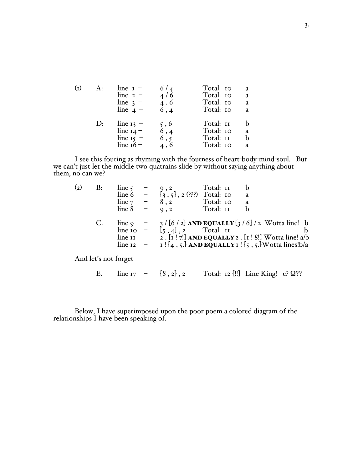| $\rm (I)$ | A:             | line $r -$<br>line $2 -$<br>line $3 -$<br>line $4 -$     | 6/4<br>4/6<br>4.6<br>6,4   | Total: 10<br>Total: 10<br>Total: 10<br>Total: 10 | a<br>a<br>a<br>a  |
|-----------|----------------|----------------------------------------------------------|----------------------------|--------------------------------------------------|-------------------|
|           | $\mathbf{D}$ : | line $13 -$<br>line $14 -$<br>line $15 -$<br>line $16 -$ | 5, 6<br>6,4<br>6, 5<br>4,6 | Total: II<br>Total: 10<br>Total: II<br>Total: 10 | b.<br>a<br>b<br>a |

I see this fouring as rhyming with the fourness of heart-body-mind-soul. But we can't just let the middle two quatrains slide by without saying anything about them, no can we?

| $\rm _{(2)}$ | B: |          |                                                                                                                           |
|--------------|----|----------|---------------------------------------------------------------------------------------------------------------------------|
|              |    |          | line 5 - 9, 2 Total: 11 b<br>line 6 - $\begin{bmatrix} 9 & 2 \\ 3 & 5 \end{bmatrix}$ , 2 (???) Total: 10 a                |
|              |    | line $7$ | Total: 10 a<br>8, 2                                                                                                       |
|              |    | line 8   | $-9,2$<br>Total: II                                                                                                       |
|              | C. | line 9   | $-$ 3/[6/2] AND EQUALLY[3/6]/2 Wotta line! b                                                                              |
|              |    |          | line $\overline{10}$ = $\overline{5}$ , $\overline{4}$ , $\overline{2}$ Total: II                                         |
|              |    |          | line $\overline{I}I$ = $\overline{2}$ . $\overline{I}I$ $\overline{7}$ AND EQUALLY 2 . $\overline{I}I$ 8! Wotta line! a/b |
|              |    | line 12  | $ I: [4, 5]$ AND EQUALLY $I: [5, 5]$ Wotta lines!b/a                                                                      |
|              |    |          |                                                                                                                           |

And let's not forget

E. line  $17 - [8, 2], 2$  Total:  $12$  [!!] Line King! c?  $\Omega$ ??

Below, I have superimposed upon the poor poem a colored diagram of the relationships I have been speaking of.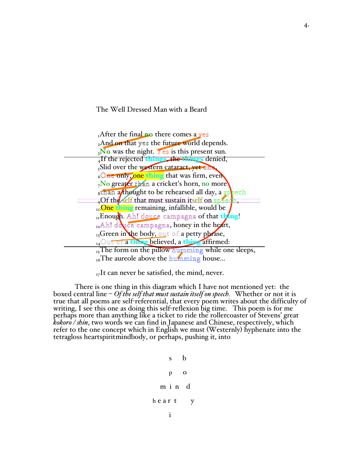The Well Dressed Man with a Beard

| $_{I}$ After the final no there comes a yes                     |  |  |  |  |  |
|-----------------------------------------------------------------|--|--|--|--|--|
| 2And on that yes the future world depends.                      |  |  |  |  |  |
| $\sqrt{\frac{1}{2}}$ We was the night. Yes is this present sun. |  |  |  |  |  |
| Alf the rejected things, the things denied,                     |  |  |  |  |  |
| Slid over the western cataract, yet one                         |  |  |  |  |  |
| 60 ne only, one thing that was firm, even                       |  |  |  |  |  |
| No greater than a cricket's horn, no more                       |  |  |  |  |  |
| sthan a thought to be rehearsed all day, a speech               |  |  |  |  |  |
| Of the self that must sustain itself on speech,                 |  |  |  |  |  |
| <sub>10</sub> One thing remaining, infallible, would be         |  |  |  |  |  |
| <sub>II</sub> Enough. Ah! douce campagna of that thing!         |  |  |  |  |  |
| <sub>12</sub> Ah! douce campagna, honey in the heart,           |  |  |  |  |  |
| $_{13}$ Green in the body, out of a petty phrase,               |  |  |  |  |  |
| 14 Out of a thing believed, a thing affirmed:                   |  |  |  |  |  |
| $_{15}$ The form on the pillow humming while one sleeps,        |  |  |  |  |  |
| $_{16}$ The aureole above the humming house                     |  |  |  |  |  |

 $_{17}$ It can never be satisfied, the mind, never.

There is one thing in this diagram which I have not mentioned yet: the boxed central line – *Of the self that must sustain itself on speech.* Whether or not it is true that all poems are self-referential, that every poem writes about the difficulty of writing, I see this one as doing this self-reflexion big time. This poem is for me perhaps more than anything like a ticket to ride the rollercoaster of Stevens' great *kokoro / shin*, two words we can find in Japanese and Chinese, respectively, which refer to the one concept which in English we must (Westernly) hyphenate into the tetragloss heartspiritmindbody, or perhaps, pushing it, into

```
s b
   p o
 m i n d
h e a r t y
   i
```